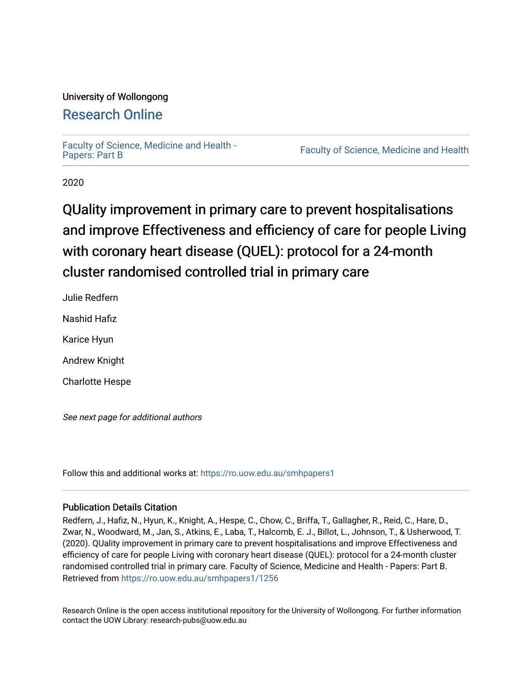## University of Wollongong

## [Research Online](https://ro.uow.edu.au/)

[Faculty of Science, Medicine and Health -](https://ro.uow.edu.au/smhpapers1)<br>Papers: Part B

Faculty of Science, Medicine and Health

2020

## QUality improvement in primary care to prevent hospitalisations and improve Effectiveness and efficiency of care for people Living with coronary heart disease (QUEL): protocol for a 24-month cluster randomised controlled trial in primary care

Julie Redfern Nashid Hafiz Karice Hyun Andrew Knight Charlotte Hespe

See next page for additional authors

Follow this and additional works at: [https://ro.uow.edu.au/smhpapers1](https://ro.uow.edu.au/smhpapers1?utm_source=ro.uow.edu.au%2Fsmhpapers1%2F1256&utm_medium=PDF&utm_campaign=PDFCoverPages)

## Publication Details Citation

Redfern, J., Hafiz, N., Hyun, K., Knight, A., Hespe, C., Chow, C., Briffa, T., Gallagher, R., Reid, C., Hare, D., Zwar, N., Woodward, M., Jan, S., Atkins, E., Laba, T., Halcomb, E. J., Billot, L., Johnson, T., & Usherwood, T. (2020). QUality improvement in primary care to prevent hospitalisations and improve Effectiveness and efficiency of care for people Living with coronary heart disease (QUEL): protocol for a 24-month cluster randomised controlled trial in primary care. Faculty of Science, Medicine and Health - Papers: Part B. Retrieved from [https://ro.uow.edu.au/smhpapers1/1256](https://ro.uow.edu.au/smhpapers1/1256?utm_source=ro.uow.edu.au%2Fsmhpapers1%2F1256&utm_medium=PDF&utm_campaign=PDFCoverPages) 

Research Online is the open access institutional repository for the University of Wollongong. For further information contact the UOW Library: research-pubs@uow.edu.au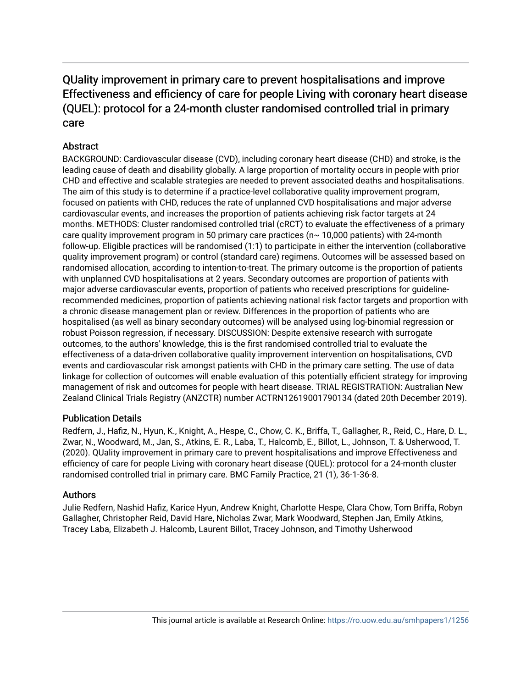## QUality improvement in primary care to prevent hospitalisations and improve Effectiveness and efficiency of care for people Living with coronary heart disease (QUEL): protocol for a 24-month cluster randomised controlled trial in primary care

## **Abstract**

BACKGROUND: Cardiovascular disease (CVD), including coronary heart disease (CHD) and stroke, is the leading cause of death and disability globally. A large proportion of mortality occurs in people with prior CHD and effective and scalable strategies are needed to prevent associated deaths and hospitalisations. The aim of this study is to determine if a practice-level collaborative quality improvement program, focused on patients with CHD, reduces the rate of unplanned CVD hospitalisations and major adverse cardiovascular events, and increases the proportion of patients achieving risk factor targets at 24 months. METHODS: Cluster randomised controlled trial (cRCT) to evaluate the effectiveness of a primary care quality improvement program in 50 primary care practices ( $n \sim 10,000$  patients) with 24-month follow-up. Eligible practices will be randomised (1:1) to participate in either the intervention (collaborative quality improvement program) or control (standard care) regimens. Outcomes will be assessed based on randomised allocation, according to intention-to-treat. The primary outcome is the proportion of patients with unplanned CVD hospitalisations at 2 years. Secondary outcomes are proportion of patients with major adverse cardiovascular events, proportion of patients who received prescriptions for guidelinerecommended medicines, proportion of patients achieving national risk factor targets and proportion with a chronic disease management plan or review. Differences in the proportion of patients who are hospitalised (as well as binary secondary outcomes) will be analysed using log-binomial regression or robust Poisson regression, if necessary. DISCUSSION: Despite extensive research with surrogate outcomes, to the authors' knowledge, this is the first randomised controlled trial to evaluate the effectiveness of a data-driven collaborative quality improvement intervention on hospitalisations, CVD events and cardiovascular risk amongst patients with CHD in the primary care setting. The use of data linkage for collection of outcomes will enable evaluation of this potentially efficient strategy for improving management of risk and outcomes for people with heart disease. TRIAL REGISTRATION: Australian New Zealand Clinical Trials Registry (ANZCTR) number ACTRN12619001790134 (dated 20th December 2019).

## Publication Details

Redfern, J., Hafiz, N., Hyun, K., Knight, A., Hespe, C., Chow, C. K., Briffa, T., Gallagher, R., Reid, C., Hare, D. L., Zwar, N., Woodward, M., Jan, S., Atkins, E. R., Laba, T., Halcomb, E., Billot, L., Johnson, T. & Usherwood, T. (2020). QUality improvement in primary care to prevent hospitalisations and improve Effectiveness and efficiency of care for people Living with coronary heart disease (QUEL): protocol for a 24-month cluster randomised controlled trial in primary care. BMC Family Practice, 21 (1), 36-1-36-8.

### Authors

Julie Redfern, Nashid Hafiz, Karice Hyun, Andrew Knight, Charlotte Hespe, Clara Chow, Tom Briffa, Robyn Gallagher, Christopher Reid, David Hare, Nicholas Zwar, Mark Woodward, Stephen Jan, Emily Atkins, Tracey Laba, Elizabeth J. Halcomb, Laurent Billot, Tracey Johnson, and Timothy Usherwood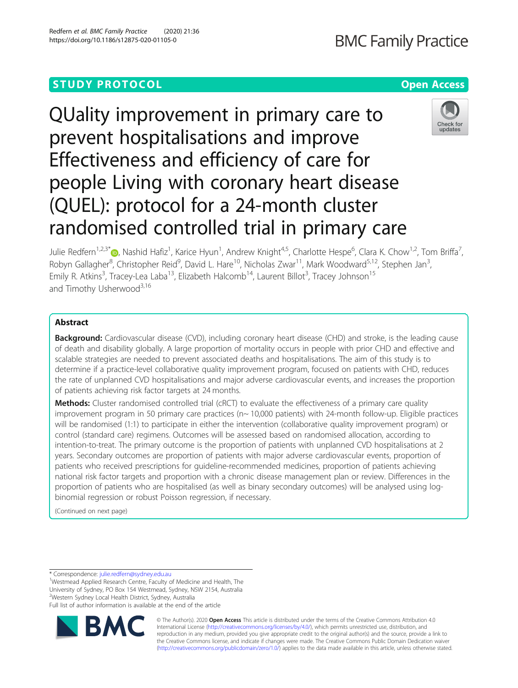## **STUDY PROTOCOL CONSUMING THE RESERVE ACCESS**

# QUality improvement in primary care to prevent hospitalisations and improve Effectiveness and efficiency of care for people Living with coronary heart disease (QUEL): protocol for a 24-month cluster randomised controlled trial in primary care



Julie Redfern<sup>1,2,3[\\*](http://orcid.org/0000-0001-8707-5563)</sup> D, Nashid Hafiz<sup>1</sup>, Karice Hyun<sup>1</sup>, Andrew Knight<sup>4,5</sup>, Charlotte Hespe<sup>6</sup>, Clara K. Chow<sup>1,2</sup>, Tom Briffa<sup>7</sup> , Robyn Gallagher<sup>8</sup>, Christopher Reid<sup>9</sup>, David L. Hare<sup>10</sup>, Nicholas Zwar<sup>11</sup>, Mark Woodward<sup>5,12</sup>, Stephen Jan<sup>3</sup> , Emily R. Atkins<sup>3</sup>, Tracey-Lea Laba<sup>13</sup>, Elizabeth Halcomb<sup>14</sup>, Laurent Billot<sup>3</sup>, Tracey Johnson<sup>15</sup> and Timothy Usherwood<sup>3,16</sup>

### Abstract

**Background:** Cardiovascular disease (CVD), including coronary heart disease (CHD) and stroke, is the leading cause of death and disability globally. A large proportion of mortality occurs in people with prior CHD and effective and scalable strategies are needed to prevent associated deaths and hospitalisations. The aim of this study is to determine if a practice-level collaborative quality improvement program, focused on patients with CHD, reduces the rate of unplanned CVD hospitalisations and major adverse cardiovascular events, and increases the proportion of patients achieving risk factor targets at 24 months.

Methods: Cluster randomised controlled trial (cRCT) to evaluate the effectiveness of a primary care quality improvement program in 50 primary care practices (n~ 10,000 patients) with 24-month follow-up. Eligible practices will be randomised (1:1) to participate in either the intervention (collaborative quality improvement program) or control (standard care) regimens. Outcomes will be assessed based on randomised allocation, according to intention-to-treat. The primary outcome is the proportion of patients with unplanned CVD hospitalisations at 2 years. Secondary outcomes are proportion of patients with major adverse cardiovascular events, proportion of patients who received prescriptions for guideline-recommended medicines, proportion of patients achieving national risk factor targets and proportion with a chronic disease management plan or review. Differences in the proportion of patients who are hospitalised (as well as binary secondary outcomes) will be analysed using logbinomial regression or robust Poisson regression, if necessary.

(Continued on next page)

\* Correspondence: [julie.redfern@sydney.edu.au](mailto:julie.redfern@sydney.edu.au) <sup>1</sup>

<sup>1</sup>Westmead Applied Research Centre, Faculty of Medicine and Health, The University of Sydney, PO Box 154 Westmead, Sydney, NSW 2154, Australia 2 Western Sydney Local Health District, Sydney, Australia

Full list of author information is available at the end of the article



© The Author(s). 2020 **Open Access** This article is distributed under the terms of the Creative Commons Attribution 4.0 International License [\(http://creativecommons.org/licenses/by/4.0/](http://creativecommons.org/licenses/by/4.0/)), which permits unrestricted use, distribution, and reproduction in any medium, provided you give appropriate credit to the original author(s) and the source, provide a link to the Creative Commons license, and indicate if changes were made. The Creative Commons Public Domain Dedication waiver [\(http://creativecommons.org/publicdomain/zero/1.0/](http://creativecommons.org/publicdomain/zero/1.0/)) applies to the data made available in this article, unless otherwise stated.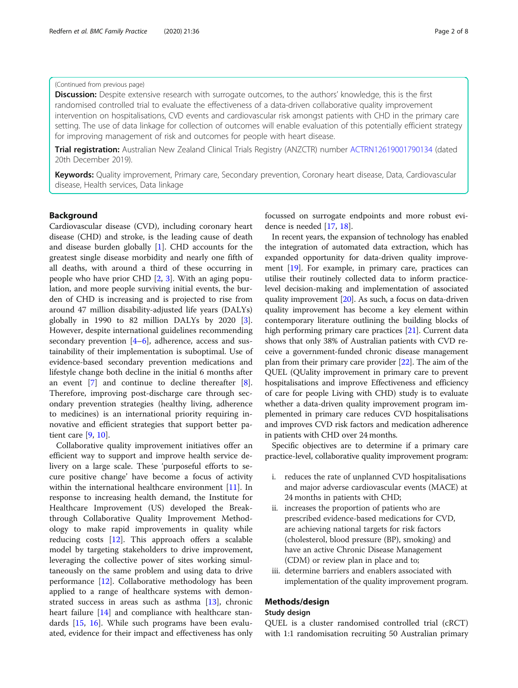#### (Continued from previous page)

**Discussion:** Despite extensive research with surrogate outcomes, to the authors' knowledge, this is the first randomised controlled trial to evaluate the effectiveness of a data-driven collaborative quality improvement intervention on hospitalisations, CVD events and cardiovascular risk amongst patients with CHD in the primary care setting. The use of data linkage for collection of outcomes will enable evaluation of this potentially efficient strategy for improving management of risk and outcomes for people with heart disease.

Trial registration: Australian New Zealand Clinical Trials Registry (ANZCTR) number [ACTRN12619001790134](http://www.anzctr.org.au/ACTRN12619001790134.aspx) (dated 20th December 2019).

Keywords: Quality improvement, Primary care, Secondary prevention, Coronary heart disease, Data, Cardiovascular disease, Health services, Data linkage

### Background

Cardiovascular disease (CVD), including coronary heart disease (CHD) and stroke, is the leading cause of death and disease burden globally [\[1](#page-8-0)]. CHD accounts for the greatest single disease morbidity and nearly one fifth of all deaths, with around a third of these occurring in people who have prior CHD [\[2](#page-8-0), [3](#page-8-0)]. With an aging population, and more people surviving initial events, the burden of CHD is increasing and is projected to rise from around 47 million disability-adjusted life years (DALYs) globally in 1990 to 82 million DALYs by 2020 [\[3](#page-8-0)]. However, despite international guidelines recommending secondary prevention [[4](#page-8-0)–[6](#page-8-0)], adherence, access and sustainability of their implementation is suboptimal. Use of evidence-based secondary prevention medications and lifestyle change both decline in the initial 6 months after an event [\[7\]](#page-8-0) and continue to decline thereafter [\[8](#page-8-0)]. Therefore, improving post-discharge care through secondary prevention strategies (healthy living, adherence to medicines) is an international priority requiring innovative and efficient strategies that support better patient care [\[9](#page-8-0), [10](#page-8-0)].

Collaborative quality improvement initiatives offer an efficient way to support and improve health service delivery on a large scale. These 'purposeful efforts to secure positive change' have become a focus of activity within the international healthcare environment [\[11\]](#page-8-0). In response to increasing health demand, the Institute for Healthcare Improvement (US) developed the Breakthrough Collaborative Quality Improvement Methodology to make rapid improvements in quality while reducing costs [[12](#page-8-0)]. This approach offers a scalable model by targeting stakeholders to drive improvement, leveraging the collective power of sites working simultaneously on the same problem and using data to drive performance [\[12](#page-8-0)]. Collaborative methodology has been applied to a range of healthcare systems with demonstrated success in areas such as asthma [\[13](#page-8-0)], chronic heart failure [[14\]](#page-8-0) and compliance with healthcare standards [[15](#page-8-0), [16\]](#page-8-0). While such programs have been evaluated, evidence for their impact and effectiveness has only focussed on surrogate endpoints and more robust evidence is needed [[17,](#page-8-0) [18\]](#page-8-0).

In recent years, the expansion of technology has enabled the integration of automated data extraction, which has expanded opportunity for data-driven quality improvement [[19](#page-8-0)]. For example, in primary care, practices can utilise their routinely collected data to inform practicelevel decision-making and implementation of associated quality improvement [\[20\]](#page-8-0). As such, a focus on data-driven quality improvement has become a key element within contemporary literature outlining the building blocks of high performing primary care practices [\[21\]](#page-8-0). Current data shows that only 38% of Australian patients with CVD receive a government-funded chronic disease management plan from their primary care provider [\[22](#page-9-0)]. The aim of the QUEL (QUality improvement in primary care to prevent hospitalisations and improve Effectiveness and efficiency of care for people Living with CHD) study is to evaluate whether a data-driven quality improvement program implemented in primary care reduces CVD hospitalisations and improves CVD risk factors and medication adherence in patients with CHD over 24 months.

Specific objectives are to determine if a primary care practice-level, collaborative quality improvement program:

- i. reduces the rate of unplanned CVD hospitalisations and major adverse cardiovascular events (MACE) at 24 months in patients with CHD;
- ii. increases the proportion of patients who are prescribed evidence-based medications for CVD, are achieving national targets for risk factors (cholesterol, blood pressure (BP), smoking) and have an active Chronic Disease Management (CDM) or review plan in place and to;
- iii. determine barriers and enablers associated with implementation of the quality improvement program.

#### Methods/design

#### Study design

QUEL is a cluster randomised controlled trial (cRCT) with 1:1 randomisation recruiting 50 Australian primary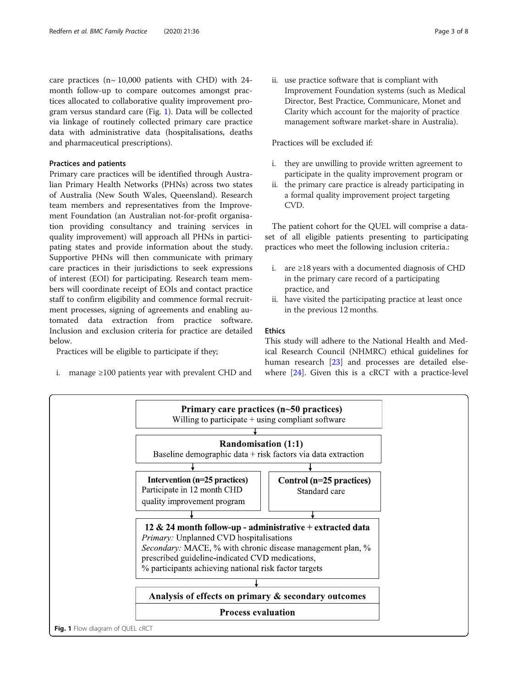care practices ( $n \sim 10,000$  patients with CHD) with 24month follow-up to compare outcomes amongst practices allocated to collaborative quality improvement program versus standard care (Fig. 1). Data will be collected via linkage of routinely collected primary care practice data with administrative data (hospitalisations, deaths and pharmaceutical prescriptions).

#### Practices and patients

Primary care practices will be identified through Australian Primary Health Networks (PHNs) across two states of Australia (New South Wales, Queensland). Research team members and representatives from the Improvement Foundation (an Australian not-for-profit organisation providing consultancy and training services in quality improvement) will approach all PHNs in participating states and provide information about the study. Supportive PHNs will then communicate with primary care practices in their jurisdictions to seek expressions of interest (EOI) for participating. Research team members will coordinate receipt of EOIs and contact practice staff to confirm eligibility and commence formal recruitment processes, signing of agreements and enabling automated data extraction from practice software. Inclusion and exclusion criteria for practice are detailed below.

Practices will be eligible to participate if they;

i. manage ≥100 patients year with prevalent CHD and

ii. use practice software that is compliant with Improvement Foundation systems (such as Medical Director, Best Practice, Communicare, Monet and Clarity which account for the majority of practice management software market-share in Australia).

#### Practices will be excluded if:

- i. they are unwilling to provide written agreement to participate in the quality improvement program or
- ii. the primary care practice is already participating in a formal quality improvement project targeting CVD.

The patient cohort for the QUEL will comprise a dataset of all eligible patients presenting to participating practices who meet the following inclusion criteria.:

- i. are ≥18 years with a documented diagnosis of CHD in the primary care record of a participating practice, and
- ii. have visited the participating practice at least once in the previous 12 months.

#### Ethics

This study will adhere to the National Health and Medical Research Council (NHMRC) ethical guidelines for human research [[23](#page-9-0)] and processes are detailed elsewhere [\[24\]](#page-9-0). Given this is a cRCT with a practice-level

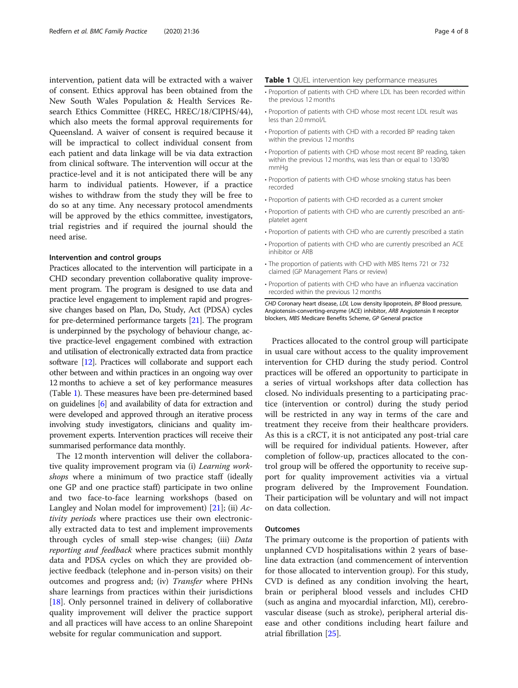intervention, patient data will be extracted with a waiver of consent. Ethics approval has been obtained from the New South Wales Population & Health Services Research Ethics Committee (HREC, HREC/18/CIPHS/44), which also meets the formal approval requirements for Queensland. A waiver of consent is required because it will be impractical to collect individual consent from each patient and data linkage will be via data extraction from clinical software. The intervention will occur at the practice-level and it is not anticipated there will be any harm to individual patients. However, if a practice wishes to withdraw from the study they will be free to do so at any time. Any necessary protocol amendments will be approved by the ethics committee, investigators, trial registries and if required the journal should the need arise.

#### Intervention and control groups

Practices allocated to the intervention will participate in a CHD secondary prevention collaborative quality improvement program. The program is designed to use data and practice level engagement to implement rapid and progressive changes based on Plan, Do, Study, Act (PDSA) cycles for pre-determined performance targets [\[21\]](#page-8-0). The program is underpinned by the psychology of behaviour change, active practice-level engagement combined with extraction and utilisation of electronically extracted data from practice software [[12](#page-8-0)]. Practices will collaborate and support each other between and within practices in an ongoing way over 12 months to achieve a set of key performance measures (Table 1). These measures have been pre-determined based on guidelines [\[6](#page-8-0)] and availability of data for extraction and were developed and approved through an iterative process involving study investigators, clinicians and quality improvement experts. Intervention practices will receive their summarised performance data monthly.

The 12 month intervention will deliver the collaborative quality improvement program via (i) Learning workshops where a minimum of two practice staff (ideally one GP and one practice staff) participate in two online and two face-to-face learning workshops (based on Langley and Nolan model for improvement)  $[21]$ ; (ii) Activity periods where practices use their own electronically extracted data to test and implement improvements through cycles of small step-wise changes; (iii) Data reporting and feedback where practices submit monthly data and PDSA cycles on which they are provided objective feedback (telephone and in-person visits) on their outcomes and progress and; (iv) Transfer where PHNs share learnings from practices within their jurisdictions [[18\]](#page-8-0). Only personnel trained in delivery of collaborative quality improvement will deliver the practice support and all practices will have access to an online Sharepoint website for regular communication and support.

#### Table 1 QUEL intervention key performance measures

- Proportion of patients with CHD where LDL has been recorded within the previous 12 months
- Proportion of patients with CHD whose most recent LDL result was less than 2.0 mmol/L
- Proportion of patients with CHD with a recorded BP reading taken within the previous 12 months
- Proportion of patients with CHD whose most recent BP reading, taken within the previous 12 months, was less than or equal to 130/80 mmHg
- Proportion of patients with CHD whose smoking status has been recorded
- Proportion of patients with CHD recorded as a current smoker
- Proportion of patients with CHD who are currently prescribed an antiplatelet agent
- Proportion of patients with CHD who are currently prescribed a statin
- Proportion of patients with CHD who are currently prescribed an ACE inhibitor or ARB
- The proportion of patients with CHD with MBS Items 721 or 732 claimed (GP Management Plans or review)
- Proportion of patients with CHD who have an influenza vaccination recorded within the previous 12 months

CHD Coronary heart disease, LDL Low density lipoprotein, BP Blood pressure, Angiotensin-converting-enzyme (ACE) inhibitor, ARB Angiotensin II receptor blockers, MBS Medicare Benefits Scheme, GP General practice

Practices allocated to the control group will participate in usual care without access to the quality improvement intervention for CHD during the study period. Control practices will be offered an opportunity to participate in a series of virtual workshops after data collection has closed. No individuals presenting to a participating practice (intervention or control) during the study period will be restricted in any way in terms of the care and treatment they receive from their healthcare providers. As this is a cRCT, it is not anticipated any post-trial care will be required for individual patients. However, after completion of follow-up, practices allocated to the control group will be offered the opportunity to receive support for quality improvement activities via a virtual program delivered by the Improvement Foundation. Their participation will be voluntary and will not impact on data collection.

#### **Outcomes**

The primary outcome is the proportion of patients with unplanned CVD hospitalisations within 2 years of baseline data extraction (and commencement of intervention for those allocated to intervention group). For this study, CVD is defined as any condition involving the heart, brain or peripheral blood vessels and includes CHD (such as angina and myocardial infarction, MI), cerebrovascular disease (such as stroke), peripheral arterial disease and other conditions including heart failure and atrial fibrillation [\[25\]](#page-9-0).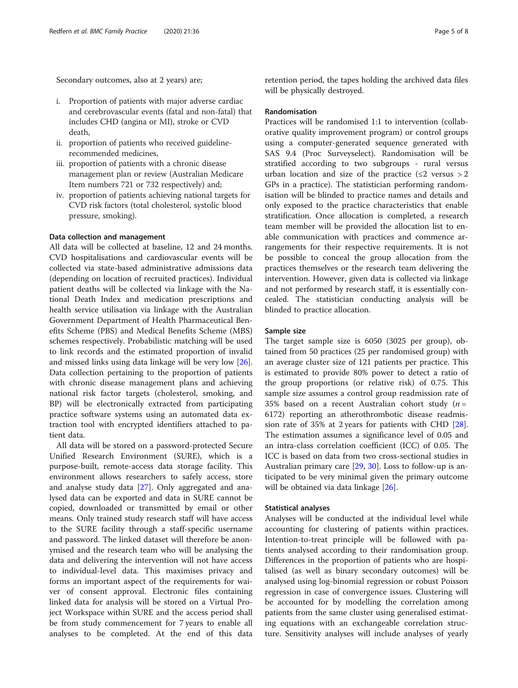- i. Proportion of patients with major adverse cardiac and cerebrovascular events (fatal and non-fatal) that includes CHD (angina or MI), stroke or CVD death,
- ii. proportion of patients who received guidelinerecommended medicines,
- iii. proportion of patients with a chronic disease management plan or review (Australian Medicare Item numbers 721 or 732 respectively) and;
- iv. proportion of patients achieving national targets for CVD risk factors (total cholesterol, systolic blood pressure, smoking).

#### Data collection and management

All data will be collected at baseline, 12 and 24 months. CVD hospitalisations and cardiovascular events will be collected via state-based administrative admissions data (depending on location of recruited practices). Individual patient deaths will be collected via linkage with the National Death Index and medication prescriptions and health service utilisation via linkage with the Australian Government Department of Health Pharmaceutical Benefits Scheme (PBS) and Medical Benefits Scheme (MBS) schemes respectively. Probabilistic matching will be used to link records and the estimated proportion of invalid and missed links using data linkage will be very low [\[26](#page-9-0)]. Data collection pertaining to the proportion of patients with chronic disease management plans and achieving national risk factor targets (cholesterol, smoking, and BP) will be electronically extracted from participating practice software systems using an automated data extraction tool with encrypted identifiers attached to patient data.

All data will be stored on a password-protected Secure Unified Research Environment (SURE), which is a purpose-built, remote-access data storage facility. This environment allows researchers to safely access, store and analyse study data [\[27\]](#page-9-0). Only aggregated and analysed data can be exported and data in SURE cannot be copied, downloaded or transmitted by email or other means. Only trained study research staff will have access to the SURE facility through a staff-specific username and password. The linked dataset will therefore be anonymised and the research team who will be analysing the data and delivering the intervention will not have access to individual-level data. This maximises privacy and forms an important aspect of the requirements for waiver of consent approval. Electronic files containing linked data for analysis will be stored on a Virtual Project Workspace within SURE and the access period shall be from study commencement for 7 years to enable all analyses to be completed. At the end of this data retention period, the tapes holding the archived data files will be physically destroyed.

#### Randomisation

Practices will be randomised 1:1 to intervention (collaborative quality improvement program) or control groups using a computer-generated sequence generated with SAS 9.4 (Proc Surveyselect). Randomisation will be stratified according to two subgroups - rural versus urban location and size of the practice  $(\leq 2 \text{ versus } > 2$ GPs in a practice). The statistician performing randomisation will be blinded to practice names and details and only exposed to the practice characteristics that enable stratification. Once allocation is completed, a research team member will be provided the allocation list to enable communication with practices and commence arrangements for their respective requirements. It is not be possible to conceal the group allocation from the practices themselves or the research team delivering the intervention. However, given data is collected via linkage and not performed by research staff, it is essentially concealed. The statistician conducting analysis will be blinded to practice allocation.

#### Sample size

The target sample size is 6050 (3025 per group), obtained from 50 practices (25 per randomised group) with an average cluster size of 121 patients per practice. This is estimated to provide 80% power to detect a ratio of the group proportions (or relative risk) of 0.75. This sample size assumes a control group readmission rate of 35% based on a recent Australian cohort study  $(n =$ 6172) reporting an atherothrombotic disease readmission rate of 35% at 2 years for patients with CHD [\[28](#page-9-0)]. The estimation assumes a significance level of 0.05 and an intra-class correlation coefficient (ICC) of 0.05. The ICC is based on data from two cross-sectional studies in Australian primary care [\[29,](#page-9-0) [30\]](#page-9-0). Loss to follow-up is anticipated to be very minimal given the primary outcome will be obtained via data linkage [[26](#page-9-0)].

#### Statistical analyses

Analyses will be conducted at the individual level while accounting for clustering of patients within practices. Intention-to-treat principle will be followed with patients analysed according to their randomisation group. Differences in the proportion of patients who are hospitalised (as well as binary secondary outcomes) will be analysed using log-binomial regression or robust Poisson regression in case of convergence issues. Clustering will be accounted for by modelling the correlation among patients from the same cluster using generalised estimating equations with an exchangeable correlation structure. Sensitivity analyses will include analyses of yearly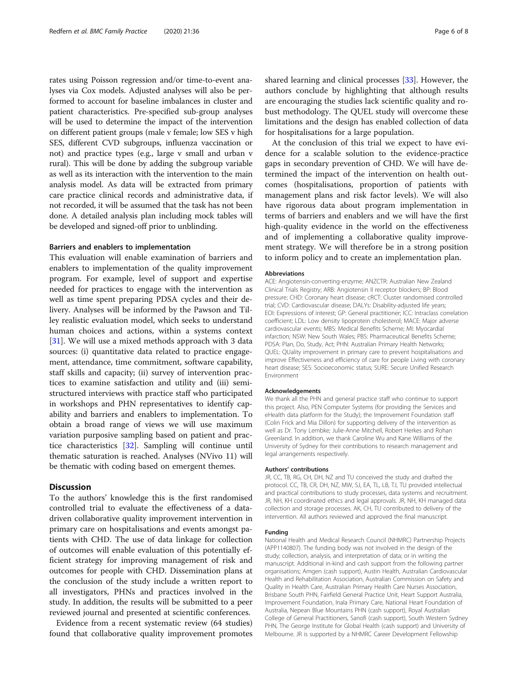rates using Poisson regression and/or time-to-event analyses via Cox models. Adjusted analyses will also be performed to account for baseline imbalances in cluster and patient characteristics. Pre-specified sub-group analyses will be used to determine the impact of the intervention on different patient groups (male v female; low SES v high SES, different CVD subgroups, influenza vaccination or not) and practice types (e.g., large v small and urban v rural). This will be done by adding the subgroup variable as well as its interaction with the intervention to the main analysis model. As data will be extracted from primary care practice clinical records and administrative data, if not recorded, it will be assumed that the task has not been done. A detailed analysis plan including mock tables will be developed and signed-off prior to unblinding.

#### Barriers and enablers to implementation

This evaluation will enable examination of barriers and enablers to implementation of the quality improvement program. For example, level of support and expertise needed for practices to engage with the intervention as well as time spent preparing PDSA cycles and their delivery. Analyses will be informed by the Pawson and Tilley realistic evaluation model, which seeks to understand human choices and actions, within a systems context [[31\]](#page-9-0). We will use a mixed methods approach with 3 data sources: (i) quantitative data related to practice engagement, attendance, time commitment, software capability, staff skills and capacity; (ii) survey of intervention practices to examine satisfaction and utility and (iii) semistructured interviews with practice staff who participated in workshops and PHN representatives to identify capability and barriers and enablers to implementation. To obtain a broad range of views we will use maximum variation purposive sampling based on patient and practice characteristics [\[32](#page-9-0)]. Sampling will continue until thematic saturation is reached. Analyses (NVivo 11) will be thematic with coding based on emergent themes.

#### **Discussion**

To the authors' knowledge this is the first randomised controlled trial to evaluate the effectiveness of a datadriven collaborative quality improvement intervention in primary care on hospitalisations and events amongst patients with CHD. The use of data linkage for collection of outcomes will enable evaluation of this potentially efficient strategy for improving management of risk and outcomes for people with CHD. Dissemination plans at the conclusion of the study include a written report to all investigators, PHNs and practices involved in the study. In addition, the results will be submitted to a peer reviewed journal and presented at scientific conferences.

Evidence from a recent systematic review (64 studies) found that collaborative quality improvement promotes shared learning and clinical processes [[33\]](#page-9-0). However, the authors conclude by highlighting that although results are encouraging the studies lack scientific quality and robust methodology. The QUEL study will overcome these limitations and the design has enabled collection of data for hospitalisations for a large population.

At the conclusion of this trial we expect to have evidence for a scalable solution to the evidence-practice gaps in secondary prevention of CHD. We will have determined the impact of the intervention on health outcomes (hospitalisations, proportion of patients with management plans and risk factor levels). We will also have rigorous data about program implementation in terms of barriers and enablers and we will have the first high-quality evidence in the world on the effectiveness and of implementing a collaborative quality improvement strategy. We will therefore be in a strong position to inform policy and to create an implementation plan.

#### **Abbreviations**

ACE: Angiotensin-converting-enzyme; ANZCTR: Australian New Zealand Clinical Trials Registry; ARB: Angiotensin II receptor blockers; BP: Blood pressure; CHD: Coronary heart disease; cRCT: Cluster randomised controlled trial; CVD: Cardiovascular disease; DALYs: Disability-adjusted life years; EOI: Expressions of interest; GP: General practitioner; ICC: Intraclass correlation coefficient; LDL: Low density lipoprotein cholesterol; MACE: Major adverse cardiovascular events; MBS: Medical Benefits Scheme; MI: Myocardial infarction; NSW: New South Wales; PBS: Pharmaceutical Benefits Scheme; PDSA: Plan, Do, Study, Act; PHN: Australian Primary Health Networks; QUEL: QUality improvement in primary care to prevent hospitalisations and improve Effectiveness and efficiency of care for people Living with coronary heart disease; SES: Socioeconomic status; SURE: Secure Unified Research Environment

#### Acknowledgements

We thank all the PHN and general practice staff who continue to support this project. Also, PEN Computer Systems (for providing the Services and eHealth data platform for the Study); the Improvement Foundation staff (Colin Frick and Mia Dillon) for supporting delivery of the intervention as well as Dr. Tony Lembke; Julie-Anne Mitchell, Robert Herkes and Rohan Greenland. In addition, we thank Caroline Wu and Kane Williams of the University of Sydney for their contributions to research management and legal arrangements respectively.

#### Authors' contributions

JR, CC, TB, RG, CH, DH, NZ and TU conceived the study and drafted the protocol. CC, TB, CR, DH, NZ, MW, SJ, EA, TL, LB, TJ, TU provided intellectual and practical contributions to study processes, data systems and recruitment. JR, NH, KH coordinated ethics and legal approvals. JR, NH, KH managed data collection and storage processes. AK, CH, TU contributed to delivery of the intervention. All authors reviewed and approved the final manuscript.

#### Funding

National Health and Medical Research Council (NHMRC) Partnership Projects (APP1140807). The funding body was not involved in the design of the study; collection, analysis, and interpretation of data; or in writing the manuscript. Additional in-kind and cash support from the following partner organisations; Amgen (cash support), Austin Health, Australian Cardiovascular Health and Rehabilitation Association, Australian Commission on Safety and Quality in Health Care, Australian Primary Health Care Nurses Association, Brisbane South PHN, Fairfield General Practice Unit, Heart Support Australia, Improvement Foundation, Inala Primary Care, National Heart Foundation of Australia, Nepean Blue Mountains PHN (cash support), Royal Australian College of General Practitioners, Sanofi (cash support), South Western Sydney PHN, The George Institute for Global Health (cash support) and University of Melbourne. JR is supported by a NHMRC Career Development Fellowship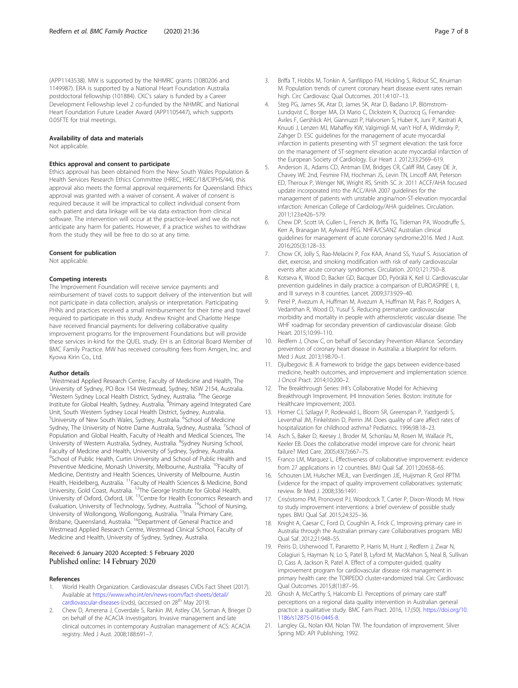<span id="page-8-0"></span>(APP1143538). MW is supported by the NHMRC grants (1080206 and 1149987). ERA is supported by a National Heart Foundation Australia postdoctoral fellowship (101884). CKC's salary is funded by a Career Development Fellowship level 2 co-funded by the NHMRC and National Heart Foundation Future Leader Award (APP1105447), which supports 0.05FTE for trial meetings.

#### Availability of data and materials

Not applicable.

#### Ethics approval and consent to participate

Ethics approval has been obtained from the New South Wales Population & Health Services Research Ethics Committee (HREC, HREC/18/CIPHS/44), this approval also meets the formal approval requirements for Queensland. Ethics approval was granted with a waiver of consent. A waiver of consent is required because it will be impractical to collect individual consent from each patient and data linkage will be via data extraction from clinical software. The intervention will occur at the practice-level and we do not anticipate any harm for patients. However, if a practice wishes to withdraw from the study they will be free to do so at any time.

#### Consent for publication

Not applicable.

#### Competing interests

The Improvement Foundation will receive service payments and reimbursement of travel costs to support delivery of the intervention but will not participate in data collection, analysis or interpretation. Participating PHNs and practices received a small reimbursement for their time and travel required to participate in this study. Andrew Knight and Charlotte Hespe have received financial payments for delivering collaborative quality improvement programs for the Improvement Foundations but will provide these services in-kind for the QUEL study. EH is an Editorial Board Member of BMC Family Practice. MW has received consulting fees from Amgen, Inc. and Kyowa Kirin Co., Ltd.

#### Author details

<sup>1</sup>Westmead Applied Research Centre, Faculty of Medicine and Health, The University of Sydney, PO Box 154 Westmead, Sydney, NSW 2154, Australia. <sup>2</sup>Western Sydney Local Health District, Sydney, Australia. <sup>3</sup>The George Institute for Global Health, Sydney, Australia. <sup>4</sup>Primary ageind Integrated Care Unit, South Western Sydney Local Health District, Sydney, Australia. <sup>5</sup>University of New South Wales, Sydney, Australia. <sup>6</sup>School of Medicine Sydney, The University of Notre Dame Australia, Sydney, Australia. <sup>7</sup>School of Population and Global Health, Faculty of Health and Medical Sciences, The University of Western Australia, Sydney, Australia. <sup>8</sup>Sydney Nursing School, Faculty of Medcine and Health, University of Sydney, Sydney, Australia. <sup>9</sup>School of Public Health, Curtin University and School of Public Health and Preventive Medicine, Monash University, Melbourne, Australia. <sup>10</sup>Faculty of Medicine, Dentistry and Health Sciences, University of Melbourne, Austin Health, Heidelberg, Australia. 11Faculty of Health Sciences & Medicine, Bond University, Gold Coast, Australia. 12The George Institute for Global Health, University, The Testa, Oxford, UK. <sup>13</sup>Centre for Health Economics Research and Evaluation, University of Technology, Sydney, Australia. <sup>14</sup>School of Nursing, University of Wollongong, Wollongong, Australia. <sup>15</sup>Inala Primary Care, Brisbane, Queensland, Australia. <sup>16</sup>Department of General Practice and Westmead Applied Research Centre, Westmead Clinical School, Faculty of Medicine and Health, University of Sydney, Sydney, Australia.

#### Received: 6 January 2020 Accepted: 5 February 2020 Published online: 14 February 2020

#### References

- 1. World Health Organization. Cardiovascular diseases CVDs Fact Sheet (2017). Available at [https://www.who.int/en/news-room/fact-sheets/detail/](https://www.who.int/en/news-room/fact-sheets/detail/cardiovascular-diseases-) [cardiovascular-diseases-](https://www.who.int/en/news-room/fact-sheets/detail/cardiovascular-diseases-)(cvds), (accessed on 28<sup>th</sup> May 2019).
- 2. Chew D, Amerena J, Coverdale S, Rankin JM, Astley CM, Soman A, Brieger D on behalf of the ACACIA Investigators. Invasive management and late clinical outcomes in contemporary Australian management of ACS: ACACIA registry. Med J Aust. 2008;188:691–7.
- 3. Briffa T, Hobbs M, Tonkin A, Sanfilippo FM, Hickling S, Ridout SC, Knuiman M. Population trends of current coronary heart disease event rates remain high. Circ Cardiovasc Qual Outcomes. 2011;4:107–13.
- Steg PG, James SK, Atar D, James SK, Atar D, Badano LP, Blömstrom-Lundqvist C, Borger MA, Di Mario C, Dickstein K, Ducrocq G, Fernandez-Aviles F, Gershlick AH, Giannuzzi P, Halvorsen S, Huber K, Juni P, Kastrati A, Knuuti J, Lenzen MJ, Mahaffey KW, Valgimigli M, van't Hof A, Widimsky P, Zahger D. ESC guidelines for the management of acute myocardial infarction in patients presenting with ST segment elevation: the task force on the management of ST-segment elevation acute myocardial infarction of the European Society of Cardiology. Eur Heart J. 2012;33:2569–619.
- 5. Anderson JL, Adams CD, Antman EM, Bridges CR, Califf RM, Casey DE Jr, Chavey WE 2nd, Fesmire FM, Hochman JS, Levin TN, Lincoff AM, Peterson ED, Theroux P, Wenger NK, Wright RS, Smith SC Jr. 2011 ACCF/AHA focused update incorporated into the ACC/AHA 2007 guidelines for the management of patients with unstable angina/non-ST-elevation myocardial infarction: American College of Cardiology/AHA guidelines. Circulation. 2011;123:e426–579.
- 6. Chew DP, Scott IA, Cullen L, French JK, Briffa TG, Tideman PA, Woodruffe S, Kerr A, Branagan M, Aylward PEG. NHFA/CSANZ Australian clinical guidelines for management of acute coronary syndrome:2016. Med J Aust. 2016;205(3):128–33.
- 7. Chow CK, Jolly S, Rao-Melacini P, Fox KAA, Anand SS, Yusuf S. Association of diet, exercise, and smoking modification with risk of early cardiovascular events after acute coronary syndromes. Circulation. 2010;121:750–8.
- 8. Kotseva K, Wood D, Backer GD, Bacquer DD, Pyörälä K, Keil U. Cardiovascular prevention guidelines in daily practice: a comparison of EUROASPIRE I, II, and III surveys in 8 countries. Lancet. 2009;373:929–40.
- 9. Perel P, Avezum A, Huffman M, Avezum A, Huffman M, Pais P, Rodgers A, Vedanthan R, Wood D, Yusuf S. Reducing premature cardiovascular morbidity and mortality in people with atherosclerotic vascular disease. The WHF roadmap for secondary prevention of cardiovascular disease. Glob Heart. 2015;10:99–110.
- 10. Redfern J, Chow C, on behalf of Secondary Prevention Alliance. Secondary prevention of coronary heart disease in Australia: a blueprint for reform. Med J Aust. 2013;198:70–1.
- 11. Djulbegovic B. A framework to bridge the gaps between evidence-based medicine, health outcomes, and improvement and implementation science. J Oncol Pract. 2014;10:200–2.
- 12. The Breakthrough Series: IHI's Collaborative Model for Achieving Breakthrough Improvement. IHI Innovation Series. Boston: Institute for Healthcare Improvement; 2003.
- 13. Homer CJ, Szilagyi P, Rodewald L, Bloom SR, Greenspan P, Yazdgerdi S, Leventhal JM, Finkelstein D, Perrin JM. Does quality of care affect rates of hospitalization for childhood asthma? Pediatrics. 1996;98:18–23.
- 14. Asch S, Baker D, Keesey J, Broder M, Schonlau M, Rosen M, Wallace PL, Keeler EB. Does the collaborative model improve care for chronic heart failure? Med Care. 2005;43(7):667–75.
- 15. Franco LM, Marquez L. Effectiveness of collaborative improvement: evidence from 27 applications in 12 countries. BMJ Qual Saf. 2011;20:658–65.
- 16. Schouten LM, Hulscher MEJL, van Everdingen JJE, Huijsman R, Grol RPTM. Evidence for the impact of quality improvement collaboratives: systematic review. Br Med J. 2008;336:1491.
- 17. Crisóstomo PM, Pronovost PJ, Woodcock T, Carter P, Dixon-Woods M. How to study improvement interventions: a brief overview of possible study types. BMJ Qual Saf. 2015;24:325–36.
- 18. Knight A, Caesar C, Ford D, Coughlin A, Frick C. Improving primary care in Australia through the Australian primary care Collaboratives program. MBJ Qual Saf. 2012;21:948–55.
- 19. Peiris D, Usherwood T, Panaretto P, Harris M, Hunt J, Redfern J, Zwar N, Colagiuri S, Hayman N, Lo S, Patel B, Lyford M, MacMahon S, Neal B, Sullivan D, Cass A, Jackson R, Patel A. Effect of a computer-guided, quality improvement program for cardiovascular disease risk management in primary health care: the TORPEDO cluster-randomized trial. Circ Cardiovasc Qual Outcomes. 2015;8(1):87–95.
- 20. Ghosh A, McCarthy S, Halcomb EJ. Perceptions of primary care staff' perceptions on a regional data quality intervention in Australian general practice: a qualitative study. BMC Fam Pract. 2016, 17;(50). [https://doi.org/10.](https://doi.org/10.1186/s12875-016-0445-8) [1186/s12875-016-0445-8](https://doi.org/10.1186/s12875-016-0445-8).
- 21. Langley GL, Nolan KM, Nolan TW. The foundation of improvement. Silver Spring MD: API Publishing; 1992.